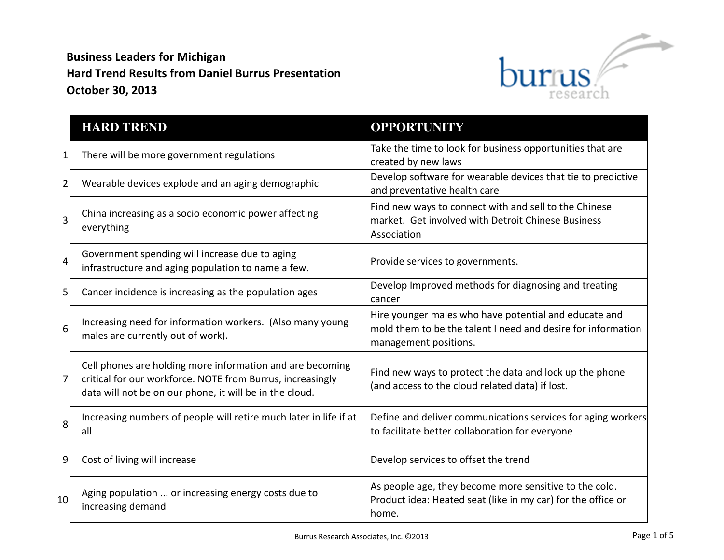## **Business Leaders for Michigan Hard Trend Results from Daniel Burrus Presentation October 30, 2013**



|                  | <b>HARD TREND</b>                                                                                                                                                                  | <b>OPPORTUNITY</b>                                                                                                                             |
|------------------|------------------------------------------------------------------------------------------------------------------------------------------------------------------------------------|------------------------------------------------------------------------------------------------------------------------------------------------|
| $\vert$          | There will be more government regulations                                                                                                                                          | Take the time to look for business opportunities that are<br>created by new laws                                                               |
| $\overline{2}$   | Wearable devices explode and an aging demographic                                                                                                                                  | Develop software for wearable devices that tie to predictive<br>and preventative health care                                                   |
| $\overline{3}$   | China increasing as a socio economic power affecting<br>everything                                                                                                                 | Find new ways to connect with and sell to the Chinese<br>market. Get involved with Detroit Chinese Business<br>Association                     |
| $\overline{4}$   | Government spending will increase due to aging<br>infrastructure and aging population to name a few.                                                                               | Provide services to governments.                                                                                                               |
| 5 <sup>1</sup>   | Cancer incidence is increasing as the population ages                                                                                                                              | Develop Improved methods for diagnosing and treating<br>cancer                                                                                 |
| $6 \overline{6}$ | Increasing need for information workers. (Also many young<br>males are currently out of work).                                                                                     | Hire younger males who have potential and educate and<br>mold them to be the talent I need and desire for information<br>management positions. |
| 7                | Cell phones are holding more information and are becoming<br>critical for our workforce. NOTE from Burrus, increasingly<br>data will not be on our phone, it will be in the cloud. | Find new ways to protect the data and lock up the phone<br>(and access to the cloud related data) if lost.                                     |
| 8                | Increasing numbers of people will retire much later in life if at<br>all                                                                                                           | Define and deliver communications services for aging workers<br>to facilitate better collaboration for everyone                                |
| $\vert 9 \vert$  | Cost of living will increase                                                                                                                                                       | Develop services to offset the trend                                                                                                           |
| 10 <sup>1</sup>  | Aging population  or increasing energy costs due to<br>increasing demand                                                                                                           | As people age, they become more sensitive to the cold.<br>Product idea: Heated seat (like in my car) for the office or<br>home.                |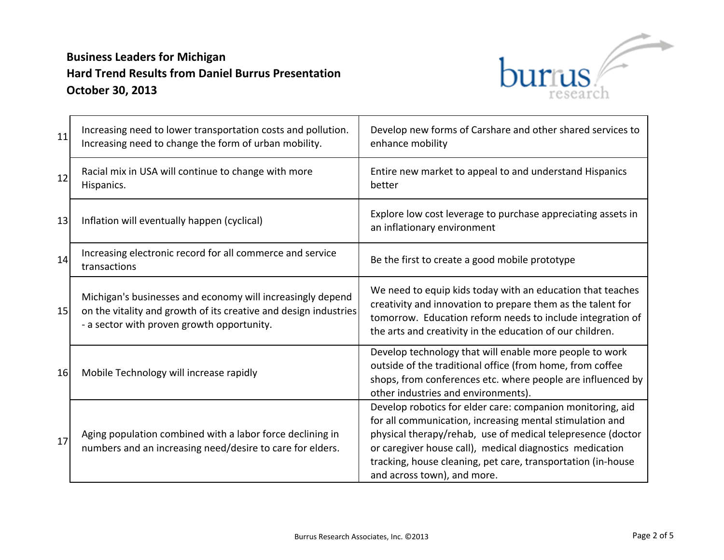

| 11 | Increasing need to lower transportation costs and pollution.<br>Increasing need to change the form of urban mobility.                                                        | Develop new forms of Carshare and other shared services to<br>enhance mobility                                                                                                                                                                                                                                                                   |
|----|------------------------------------------------------------------------------------------------------------------------------------------------------------------------------|--------------------------------------------------------------------------------------------------------------------------------------------------------------------------------------------------------------------------------------------------------------------------------------------------------------------------------------------------|
| 12 | Racial mix in USA will continue to change with more<br>Hispanics.                                                                                                            | Entire new market to appeal to and understand Hispanics<br>better                                                                                                                                                                                                                                                                                |
| 13 | Inflation will eventually happen (cyclical)                                                                                                                                  | Explore low cost leverage to purchase appreciating assets in<br>an inflationary environment                                                                                                                                                                                                                                                      |
| 14 | Increasing electronic record for all commerce and service<br>transactions                                                                                                    | Be the first to create a good mobile prototype                                                                                                                                                                                                                                                                                                   |
| 15 | Michigan's businesses and economy will increasingly depend<br>on the vitality and growth of its creative and design industries<br>- a sector with proven growth opportunity. | We need to equip kids today with an education that teaches<br>creativity and innovation to prepare them as the talent for<br>tomorrow. Education reform needs to include integration of<br>the arts and creativity in the education of our children.                                                                                             |
| 16 | Mobile Technology will increase rapidly                                                                                                                                      | Develop technology that will enable more people to work<br>outside of the traditional office (from home, from coffee<br>shops, from conferences etc. where people are influenced by<br>other industries and environments).                                                                                                                       |
| 17 | Aging population combined with a labor force declining in<br>numbers and an increasing need/desire to care for elders.                                                       | Develop robotics for elder care: companion monitoring, aid<br>for all communication, increasing mental stimulation and<br>physical therapy/rehab, use of medical telepresence (doctor<br>or caregiver house call), medical diagnostics medication<br>tracking, house cleaning, pet care, transportation (in-house<br>and across town), and more. |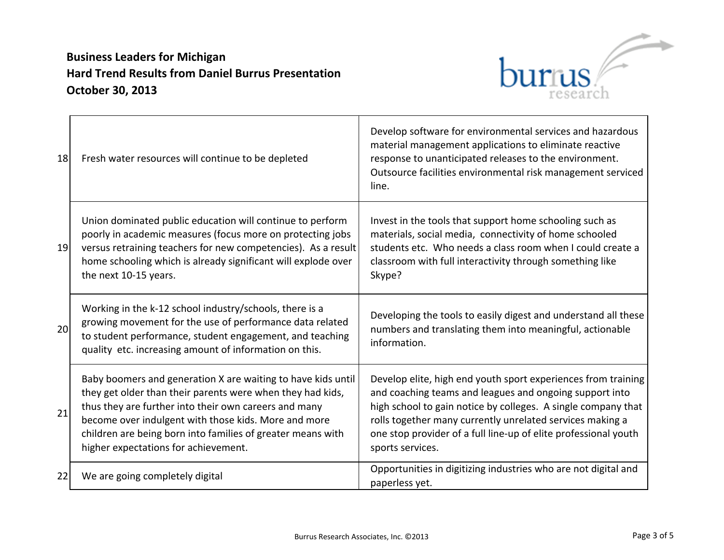## **Business Leaders for Michigan Hard Trend Results from Daniel Burrus Presentation October 30, 2013**



| 18 | Fresh water resources will continue to be depleted                                                                                                                                                                                                                                                                                                 | Develop software for environmental services and hazardous<br>material management applications to eliminate reactive<br>response to unanticipated releases to the environment.<br>Outsource facilities environmental risk management serviced<br>line.                                                                                         |
|----|----------------------------------------------------------------------------------------------------------------------------------------------------------------------------------------------------------------------------------------------------------------------------------------------------------------------------------------------------|-----------------------------------------------------------------------------------------------------------------------------------------------------------------------------------------------------------------------------------------------------------------------------------------------------------------------------------------------|
| 19 | Union dominated public education will continue to perform<br>poorly in academic measures (focus more on protecting jobs<br>versus retraining teachers for new competencies). As a result<br>home schooling which is already significant will explode over<br>the next 10-15 years.                                                                 | Invest in the tools that support home schooling such as<br>materials, social media, connectivity of home schooled<br>students etc. Who needs a class room when I could create a<br>classroom with full interactivity through something like<br>Skype?                                                                                         |
| 20 | Working in the k-12 school industry/schools, there is a<br>growing movement for the use of performance data related<br>to student performance, student engagement, and teaching<br>quality etc. increasing amount of information on this.                                                                                                          | Developing the tools to easily digest and understand all these<br>numbers and translating them into meaningful, actionable<br>information.                                                                                                                                                                                                    |
| 21 | Baby boomers and generation X are waiting to have kids until<br>they get older than their parents were when they had kids,<br>thus they are further into their own careers and many<br>become over indulgent with those kids. More and more<br>children are being born into families of greater means with<br>higher expectations for achievement. | Develop elite, high end youth sport experiences from training<br>and coaching teams and leagues and ongoing support into<br>high school to gain notice by colleges. A single company that<br>rolls together many currently unrelated services making a<br>one stop provider of a full line-up of elite professional youth<br>sports services. |
| 22 | We are going completely digital                                                                                                                                                                                                                                                                                                                    | Opportunities in digitizing industries who are not digital and<br>paperless yet.                                                                                                                                                                                                                                                              |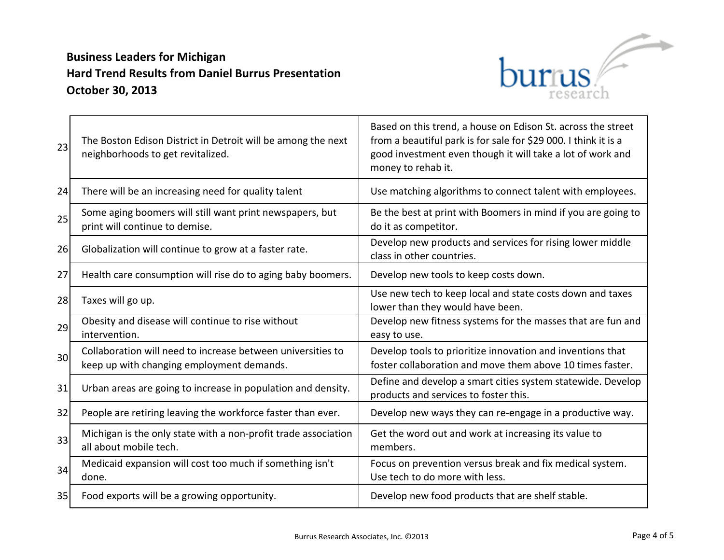

| 23              | The Boston Edison District in Detroit will be among the next<br>neighborhoods to get revitalized.        | Based on this trend, a house on Edison St. across the street<br>from a beautiful park is for sale for \$29 000. I think it is a<br>good investment even though it will take a lot of work and<br>money to rehab it. |
|-----------------|----------------------------------------------------------------------------------------------------------|---------------------------------------------------------------------------------------------------------------------------------------------------------------------------------------------------------------------|
| 24              | There will be an increasing need for quality talent                                                      | Use matching algorithms to connect talent with employees.                                                                                                                                                           |
| 25              | Some aging boomers will still want print newspapers, but<br>print will continue to demise.               | Be the best at print with Boomers in mind if you are going to<br>do it as competitor.                                                                                                                               |
| 26              | Globalization will continue to grow at a faster rate.                                                    | Develop new products and services for rising lower middle<br>class in other countries.                                                                                                                              |
| 27              | Health care consumption will rise do to aging baby boomers.                                              | Develop new tools to keep costs down.                                                                                                                                                                               |
| 28              | Taxes will go up.                                                                                        | Use new tech to keep local and state costs down and taxes<br>lower than they would have been.                                                                                                                       |
| 29              | Obesity and disease will continue to rise without<br>intervention.                                       | Develop new fitness systems for the masses that are fun and<br>easy to use.                                                                                                                                         |
| 30 <sup>l</sup> | Collaboration will need to increase between universities to<br>keep up with changing employment demands. | Develop tools to prioritize innovation and inventions that<br>foster collaboration and move them above 10 times faster.                                                                                             |
| 31              | Urban areas are going to increase in population and density.                                             | Define and develop a smart cities system statewide. Develop<br>products and services to foster this.                                                                                                                |
| 32              | People are retiring leaving the workforce faster than ever.                                              | Develop new ways they can re-engage in a productive way.                                                                                                                                                            |
| 33              | Michigan is the only state with a non-profit trade association<br>all about mobile tech.                 | Get the word out and work at increasing its value to<br>members.                                                                                                                                                    |
| 34              | Medicaid expansion will cost too much if something isn't<br>done.                                        | Focus on prevention versus break and fix medical system.<br>Use tech to do more with less.                                                                                                                          |
| 35              | Food exports will be a growing opportunity.                                                              | Develop new food products that are shelf stable.                                                                                                                                                                    |